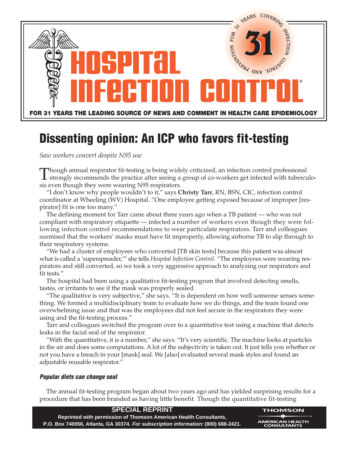

## **Dissenting opinion: An ICP who favors fit-testing**

*Saw workers convert despite N95 use*

Though annual respirator fit-testing is being widely criticized, an infection control professional<br>strongly recommends the practice after seeing a group of co-workers get infected with tuberculo-<br>is annual the presence see sis even though they were wearing N95 respirators*.* 

"I don't know why people wouldn't to it," says **Christy Tarr**, RN, BSN, CIC, infection control coordinator at Wheeling (WV) Hospital. "One employee getting exposed because of improper [respirator] fit is one too many."

The defining moment for Tarr came about three years ago when a TB patient — who was not compliant with respiratory etiquette — infected a number of workers even though they were following infection control recommendations to wear particulate respirators. Tarr and colleagues surmised that the workers' masks must have fit improperly, allowing airborne TB to slip through to their respiratory systems.

"We had a cluster of employees who converted [TB skin tests] because this patient was almost what is called a 'superspreader,'" she tells *Hospital Infection Control*. "The employees were wearing respirators and still converted, so we took a very aggressive approach to analyzing our respirators and fit tests."

The hospital had been using a qualitative fit-testing program that involved detecting smells, tastes, or irritants to see if the mask was properly sealed.

"The qualitative is very subjective," she says. "It is dependent on how well someone senses something. We formed a multidisciplinary team to evaluate how we do things, and the team found one overwhelming issue and that was the employees did not feel secure in the respirators they were using and the fit-testing process."

Tarr and colleagues switched the program over to a quantitative test using a machine that detects leaks in the facial seal of the respirator.

"With the quantitative, it is a number," she says. "It's very scientific. The machine looks at particles in the air and does some computations. A lot of the subjectivity is taken out. It just tells you whether or not you have a breach in your [mask] seal. We [also] evaluated several mask styles and found an adjustable reusable respirator."

## **Popular diets can change seal**

The annual fit-testing program began about two years ago and has yielded surprising results for a procedure that has been branded as having little benefit. Though the quantitative fit-testing

| <b>SPECIAL REPRINT</b>                                                            | <b>THOMSON</b>                                            |
|-----------------------------------------------------------------------------------|-----------------------------------------------------------|
| Reprinted with permission of Thomson American Health Consultants,                 | $\longrightarrow$ $\star$ $\longrightarrow$ $\sim$ $\sim$ |
| P.O. Box 740056, Atlanta, GA 30374. For subscription information: (800) 688-2421. | <b>AMERICAN HEALTH</b><br><b>CONSULTANTS</b>              |